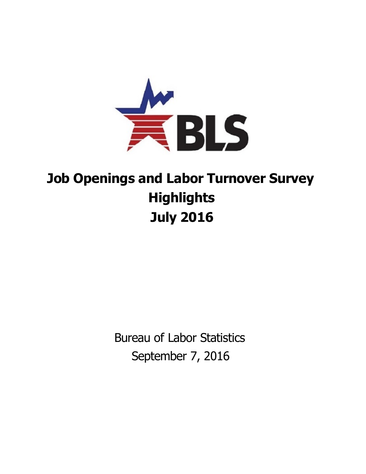

## **Job Openings and Labor Turnover Survey Highlights July 2016**

Bureau of Labor Statistics September 7, 2016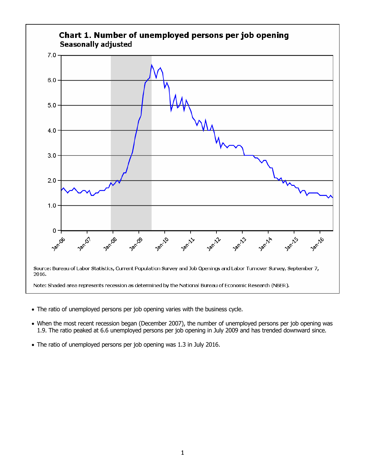

- The ratio of unemployed persons per job opening varies with the business cycle.
- When the most recent recession began (December 2007), the number of unemployed persons per job opening was 1.9. The ratio peaked at 6.6 unemployed persons per job opening in July 2009 and has trended downward since.
- The ratio of unemployed persons per job opening was 1.3 in July 2016.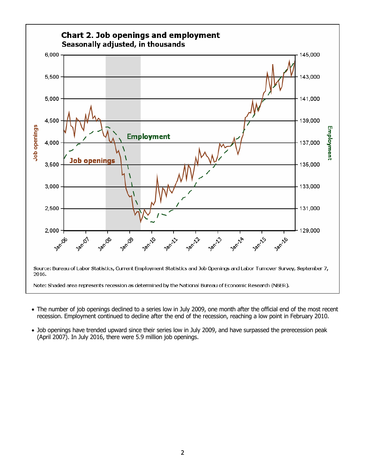

- The number of job openings declined to a series low in July 2009, one month after the official end of the most recent recession. Employment continued to decline after the end of the recession, reaching a low point in February 2010.
- Job openings have trended upward since their series low in July 2009, and have surpassed the prerecession peak (April 2007). In July 2016, there were 5.9 million job openings.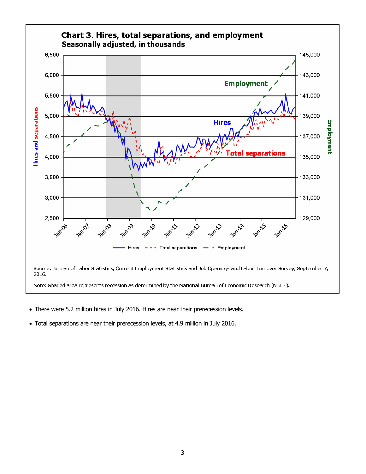

- There were 5.2 million hires in July 2016. Hires are near their prerecession levels.
- Total separations are near their prerecession levels, at 4.9 million in July 2016.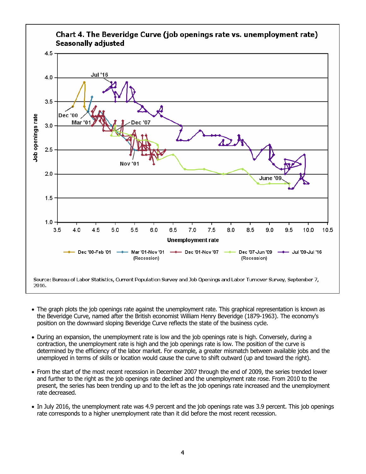

- The graph plots the job openings rate against the unemployment rate. This graphical representation is known as the Beveridge Curve, named after the British economist William Henry Beveridge (1879-1963). The economy's position on the downward sloping Beveridge Curve reflects the state of the business cycle.
- During an expansion, the unemployment rate is low and the job openings rate is high. Conversely, during a contraction, the unemployment rate is high and the job openings rate is low. The position of the curve is determined by the efficiency of the labor market. For example, a greater mismatch between available jobs and the unemployed in terms of skills or location would cause the curve to shift outward (up and toward the right).
- From the start of the most recent recession in December 2007 through the end of 2009, the series trended lower and further to the right as the job openings rate declined and the unemployment rate rose. From 2010 to the present, the series has been trending up and to the left as the job openings rate increased and the unemployment rate decreased.
- In July 2016, the unemployment rate was 4.9 percent and the job openings rate was 3.9 percent. This job openings rate corresponds to a higher unemployment rate than it did before the most recent recession.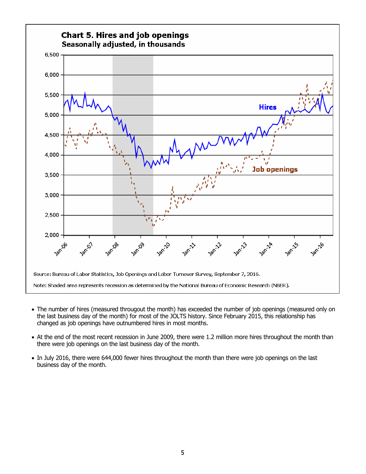

- The number of hires (measured througout the month) has exceeded the number of job openings (measured only on the last business day of the month) for most of the JOLTS history. Since February 2015, this relationship has changed as job openings have outnumbered hires in most months.
- At the end of the most recent recession in June 2009, there were 1.2 million more hires throughout the month than there were job openings on the last business day of the month.
- In July 2016, there were 644,000 fewer hires throughout the month than there were job openings on the last business day of the month.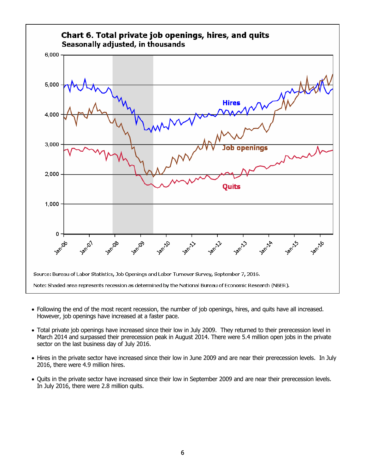

- Following the end of the most recent recession, the number of job openings, hires, and quits have all increased. However, job openings have increased at a faster pace.
- Total private job openings have increased since their low in July 2009. They returned to their prerecession level in March 2014 and surpassed their prerecession peak in August 2014. There were 5.4 million open jobs in the private sector on the last business day of July 2016.
- Hires in the private sector have increased since their low in June 2009 and are near their prerecession levels. In July 2016, there were 4.9 million hires.
- Quits in the private sector have increased since their low in September 2009 and are near their prerecession levels. In July 2016, there were 2.8 million quits.